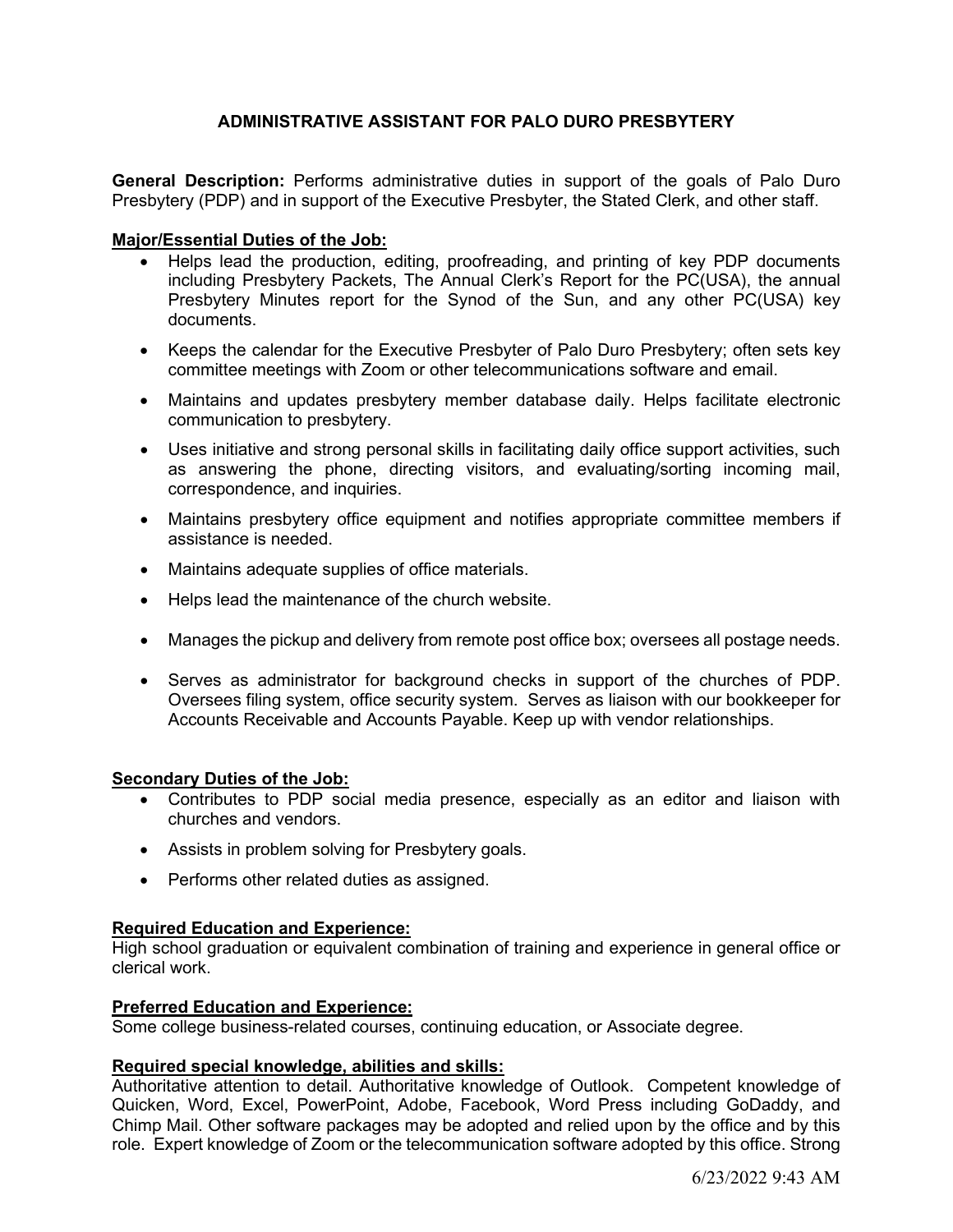# **ADMINISTRATIVE ASSISTANT FOR PALO DURO PRESBYTERY**

**General Description:** Performs administrative duties in support of the goals of Palo Duro Presbytery (PDP) and in support of the Executive Presbyter, the Stated Clerk, and other staff.

## **Major/Essential Duties of the Job:**

- Helps lead the production, editing, proofreading, and printing of key PDP documents including Presbytery Packets, The Annual Clerk's Report for the PC(USA), the annual Presbytery Minutes report for the Synod of the Sun, and any other PC(USA) key documents.
- Keeps the calendar for the Executive Presbyter of Palo Duro Presbytery; often sets key committee meetings with Zoom or other telecommunications software and email.
- Maintains and updates presbytery member database daily. Helps facilitate electronic communication to presbytery.
- Uses initiative and strong personal skills in facilitating daily office support activities, such as answering the phone, directing visitors, and evaluating/sorting incoming mail, correspondence, and inquiries.
- Maintains presbytery office equipment and notifies appropriate committee members if assistance is needed.
- Maintains adequate supplies of office materials.
- Helps lead the maintenance of the church website.
- Manages the pickup and delivery from remote post office box; oversees all postage needs.
- Serves as administrator for background checks in support of the churches of PDP. Oversees filing system, office security system. Serves as liaison with our bookkeeper for Accounts Receivable and Accounts Payable. Keep up with vendor relationships.

#### **Secondary Duties of the Job:**

- Contributes to PDP social media presence, especially as an editor and liaison with churches and vendors.
- Assists in problem solving for Presbytery goals.
- Performs other related duties as assigned.

#### **Required Education and Experience:**

High school graduation or equivalent combination of training and experience in general office or clerical work.

#### **Preferred Education and Experience:**

Some college business-related courses, continuing education, or Associate degree.

## **Required special knowledge, abilities and skills:**

Authoritative attention to detail. Authoritative knowledge of Outlook. Competent knowledge of Quicken, Word, Excel, PowerPoint, Adobe, Facebook, Word Press including GoDaddy, and Chimp Mail. Other software packages may be adopted and relied upon by the office and by this role. Expert knowledge of Zoom or the telecommunication software adopted by this office. Strong